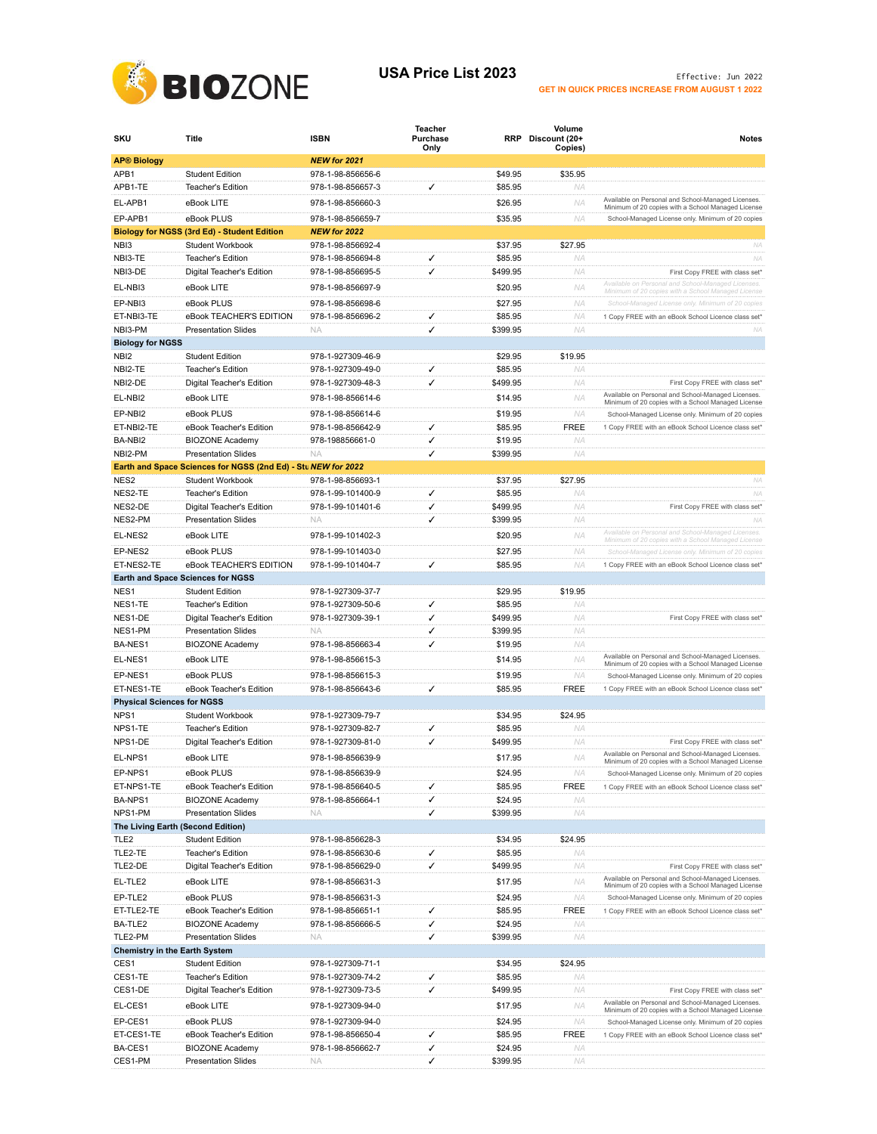

## USA Price List 2023 **Effective:** Jun 2022 **GET IN QUICK PRICES INCREASE FROM AUGUST 1 2022**

| SKU                                  | <b>Title</b>                                                  | <b>ISBN</b>                            | Teacher<br>Purchase<br>Only |                     | Volume<br>RRP Discount (20+<br>Copies) | <b>Notes</b>                                                                                             |
|--------------------------------------|---------------------------------------------------------------|----------------------------------------|-----------------------------|---------------------|----------------------------------------|----------------------------------------------------------------------------------------------------------|
| <b>AP® Biology</b>                   |                                                               | NEW for 2021                           |                             |                     |                                        |                                                                                                          |
| APB1                                 | <b>Student Edition</b>                                        | 978-1-98-856656-6                      |                             | \$49.95             | \$35.95                                |                                                                                                          |
| APB1-TE                              | <b>Teacher's Edition</b>                                      | 978-1-98-856657-3                      | ✓                           | \$85.95             | NA                                     |                                                                                                          |
| EL-APB1                              | eBook LITE                                                    | 978-1-98-856660-3                      |                             | \$26.95             | NA                                     | Available on Personal and School-Managed Licenses.<br>Minimum of 20 copies with a School Managed License |
| EP-APB1                              | eBook PLUS                                                    | 978-1-98-856659-7                      |                             | \$35.95             | NA                                     | School-Managed License only. Minimum of 20 copies                                                        |
|                                      | <b>Biology for NGSS (3rd Ed) - Student Edition</b>            | NEW for 2022                           |                             |                     |                                        |                                                                                                          |
| NBI3                                 | Student Workbook                                              | 978-1-98-856692-4                      |                             | \$37.95             | \$27.95                                | <b>NA</b>                                                                                                |
| NBI3-TE                              | <b>Teacher's Edition</b>                                      | 978-1-98-856694-8                      | ✓                           | \$85.95             | NA                                     | <b>NA</b>                                                                                                |
| NBI3-DE                              | Digital Teacher's Edition                                     | 978-1-98-856695-5                      | ✓                           | \$499.95            | NA                                     | First Copy FREE with class set*<br>Available on Personal and School-Managed Licenses.                    |
| EL-NBI3                              | eBook LITE                                                    | 978-1-98-856697-9                      |                             | \$20.95             | NA                                     | Minimum of 20 copies with a School Managed License                                                       |
| EP-NBI3                              | eBook PLUS                                                    | 978-1-98-856698-6                      |                             | \$27.95             | ΝA                                     | School-Managed License only. Minimum of 20 copies                                                        |
| ET-NBI3-TE                           | eBook TEACHER'S EDITION                                       | 978-1-98-856696-2                      | ✓<br>✓                      | \$85.95             | <b>NA</b>                              | 1 Copy FREE with an eBook School Licence class set*                                                      |
| NBI3-PM<br><b>Biology for NGSS</b>   | <b>Presentation Slides</b>                                    | <b>NA</b>                              |                             | \$399.95            | <b>NA</b>                              | NA                                                                                                       |
| NBI2                                 | <b>Student Edition</b>                                        | 978-1-927309-46-9                      |                             | \$29.95             | \$19.95                                |                                                                                                          |
| NBI2-TE                              | <b>Teacher's Edition</b>                                      | 978-1-927309-49-0                      | ✓                           | \$85.95             | NA                                     |                                                                                                          |
| NBI2-DE                              | Digital Teacher's Edition                                     | 978-1-927309-48-3                      | ✓                           | \$499.95            | NA                                     | First Copy FREE with class set*                                                                          |
| EL-NBI2                              | eBook LITE                                                    | 978-1-98-856614-6                      |                             | \$14.95             | NA                                     | Available on Personal and School-Managed Licenses.                                                       |
| EP-NBI2                              | eBook PLUS                                                    | 978-1-98-856614-6                      |                             | \$19.95             | NA                                     | Minimum of 20 copies with a School Managed License<br>School-Managed License only. Minimum of 20 copies  |
| ET-NBI2-TE                           | eBook Teacher's Edition                                       | 978-1-98-856642-9                      | ✓                           | \$85.95             | FREE                                   | 1 Copy FREE with an eBook School Licence class set*                                                      |
| BA-NBI2                              | <b>BIOZONE Academy</b>                                        | 978-198856661-0                        | ✓                           | \$19.95             | NA                                     |                                                                                                          |
| NBI2-PM                              | <b>Presentation Slides</b>                                    | <b>NA</b>                              | ✓                           | \$399.95            | <b>NA</b>                              |                                                                                                          |
|                                      | Earth and Space Sciences for NGSS (2nd Ed) - Stu NEW for 2022 |                                        |                             |                     |                                        |                                                                                                          |
| NES <sub>2</sub>                     | Student Workbook                                              | 978-1-98-856693-1                      |                             | \$37.95             | \$27.95                                | <b>NA</b>                                                                                                |
| NES2-TE                              | <b>Teacher's Edition</b>                                      | 978-1-99-101400-9                      | ✓                           | \$85.95             | NA                                     | NA                                                                                                       |
| NES2-DE                              | Digital Teacher's Edition                                     | 978-1-99-101401-6                      | ✓                           | \$499.95            | NA                                     | First Copy FREE with class set'                                                                          |
| NES2-PM                              | <b>Presentation Slides</b>                                    | <b>NA</b>                              | ✓                           | \$399.95            | NA                                     | NA                                                                                                       |
| FL-NES2                              | eBook LITE                                                    | 978-1-99-101402-3                      |                             | \$20.95             | <b>NA</b>                              | Available on Personal and School-Managed Licenses.<br>Minimum of 20 copies with a School Managed License |
| EP-NES2                              | eBook PLUS                                                    | 978-1-99-101403-0                      |                             | \$27.95             | NA                                     | School-Managed License only. Minimum of 20 copies                                                        |
| ET-NES2-TE                           | eBook TEACHER'S EDITION                                       | 978-1-99-101404-7                      | ✓                           | \$85.95             | <b>NA</b>                              | 1 Copy FREE with an eBook School Licence class set*                                                      |
|                                      | <b>Earth and Space Sciences for NGSS</b>                      |                                        |                             |                     |                                        |                                                                                                          |
| NES1                                 | <b>Student Edition</b>                                        | 978-1-927309-37-7                      |                             | \$29.95             | \$19.95                                |                                                                                                          |
| NES1-TE                              | <b>Teacher's Edition</b>                                      | 978-1-927309-50-6                      | ✓                           | \$85.95             | NA                                     |                                                                                                          |
| NES1-DE<br>NES1-PM                   | Digital Teacher's Edition                                     | 978-1-927309-39-1                      | ✓                           | \$499.95            | NA<br>NA                               | First Copy FREE with class set*                                                                          |
| BA-NES1                              | <b>Presentation Slides</b><br><b>BIOZONE Academy</b>          | N.<br>978-1-98-856663-4                | ✓<br>✓                      | \$399.95<br>\$19.95 | NA                                     |                                                                                                          |
|                                      |                                                               |                                        |                             |                     | <b>NA</b>                              | Available on Personal and School-Managed Licenses.                                                       |
| EL-NES1                              | eBook LITE                                                    | 978-1-98-856615-3                      |                             | \$14.95             |                                        | Minimum of 20 copies with a School Managed License                                                       |
| EP-NES1<br>ET-NES1-TE                | eBook PLUS<br>eBook Teacher's Edition                         | 978-1-98-856615-3<br>978-1-98-856643-6 | ✓                           | \$19.95<br>\$85.95  | NA<br><b>FREE</b>                      | School-Managed License only. Minimum of 20 copies<br>1 Copy FREE with an eBook School Licence class set" |
| <b>Physical Sciences for NGSS</b>    |                                                               |                                        |                             |                     |                                        |                                                                                                          |
| NPS1                                 | Student Workbook                                              | 978-1-927309-79-7                      |                             | \$34.95             | \$24.95                                |                                                                                                          |
| NPS1-TE                              | Teacher's Edition                                             | 978-1-927309-82-7                      | ✓                           | \$85.95             | NA                                     |                                                                                                          |
| NPS1-DE                              | Digital Teacher's Edition                                     | 978-1-927309-81-0                      | ✓                           | \$499.95            | <b>NA</b>                              | First Copy FREE with class set*                                                                          |
| EL-NPS1                              | eBook LITE                                                    | 978-1-98-856639-9                      |                             | \$17.95             | NA                                     | Available on Personal and School-Managed Licenses.                                                       |
| EP-NPS1                              | eBook PLUS                                                    | 978-1-98-856639-9                      |                             | \$24.95             | ΝA                                     | Minimum of 20 copies with a School Managed License<br>School-Managed License only. Minimum of 20 copies  |
| ET-NPS1-TE                           | eBook Teacher's Edition                                       | 978-1-98-856640-5                      | ✓                           | \$85.95             | <b>FREE</b>                            | 1 Copy FREE with an eBook School Licence class set*                                                      |
| BA-NPS1                              | <b>BIOZONE Academy</b>                                        | 978-1-98-856664-1                      | ✓                           | \$24.95             | NA                                     |                                                                                                          |
| NPS1-PM                              | <b>Presentation Slides</b>                                    | <b>NA</b>                              | ✓                           | \$399.95            | NA                                     |                                                                                                          |
| The Living Earth (Second Edition)    |                                                               |                                        |                             |                     |                                        |                                                                                                          |
| TLE <sub>2</sub>                     | <b>Student Edition</b>                                        | 978-1-98-856628-3                      |                             | \$34.95             | \$24.95                                |                                                                                                          |
| TLE2-TE                              | Teacher's Edition                                             | 978-1-98-856630-6                      | ✓                           | \$85.95             | NA                                     |                                                                                                          |
| TLE2-DE                              | Digital Teacher's Edition                                     | 978-1-98-856629-0                      | $\checkmark$                | \$499.95            | NA                                     | First Copy FREE with class set*                                                                          |
| EL-TLE2                              | eBook LITE                                                    | 978-1-98-856631-3                      |                             | \$17.95             | ΝA                                     | Available on Personal and School-Managed Licenses.<br>Minimum of 20 copies with a School Managed License |
| EP-TLE2                              | eBook PLUS                                                    | 978-1-98-856631-3                      |                             | \$24.95             | NA.                                    | School-Managed License only. Minimum of 20 copies                                                        |
| ET-TLE2-TE                           | eBook Teacher's Edition                                       | 978-1-98-856651-1                      | ✓                           | \$85.95             | <b>FREE</b>                            | 1 Copy FREE with an eBook School Licence class set*                                                      |
| BA-TLE2                              | <b>BIOZONE Academy</b>                                        | 978-1-98-856666-5                      | ✓                           | \$24.95             | ΝA                                     |                                                                                                          |
| TLE2-PM                              | <b>Presentation Slides</b>                                    | <b>NA</b>                              | ✓                           | \$399.95            | NA                                     |                                                                                                          |
| <b>Chemistry in the Earth System</b> |                                                               |                                        |                             |                     |                                        |                                                                                                          |
| CES1<br>CES1-TE                      | <b>Student Edition</b><br>Teacher's Edition                   | 978-1-927309-71-1<br>978-1-927309-74-2 | ✓                           | \$34.95<br>\$85.95  | \$24.95<br>NA                          |                                                                                                          |
| CES1-DE                              | Digital Teacher's Edition                                     | 978-1-927309-73-5                      | $\checkmark$                | \$499.95            | NA                                     | First Copy FREE with class set*                                                                          |
| EL-CES1                              | eBook LITE                                                    | 978-1-927309-94-0                      |                             | \$17.95             | NA                                     | Available on Personal and School-Managed Licenses.                                                       |
|                                      |                                                               |                                        |                             |                     |                                        | Minimum of 20 copies with a School Managed License                                                       |
| EP-CES1<br>ET-CES1-TE                | eBook PLUS<br>eBook Teacher's Edition                         | 978-1-927309-94-0<br>978-1-98-856650-4 | ✓                           | \$24.95<br>\$85.95  | NA<br><b>FREE</b>                      | School-Managed License only. Minimum of 20 copies                                                        |
| BA-CES1                              | <b>BIOZONE Academy</b>                                        | 978-1-98-856662-7                      | ✓                           | \$24.95             | ΝA                                     | 1 Copy FREE with an eBook School Licence class set*                                                      |
| CES1-PM                              | <b>Presentation Slides</b>                                    | <b>NA</b>                              | ✓                           | \$399.95            | ΝA                                     |                                                                                                          |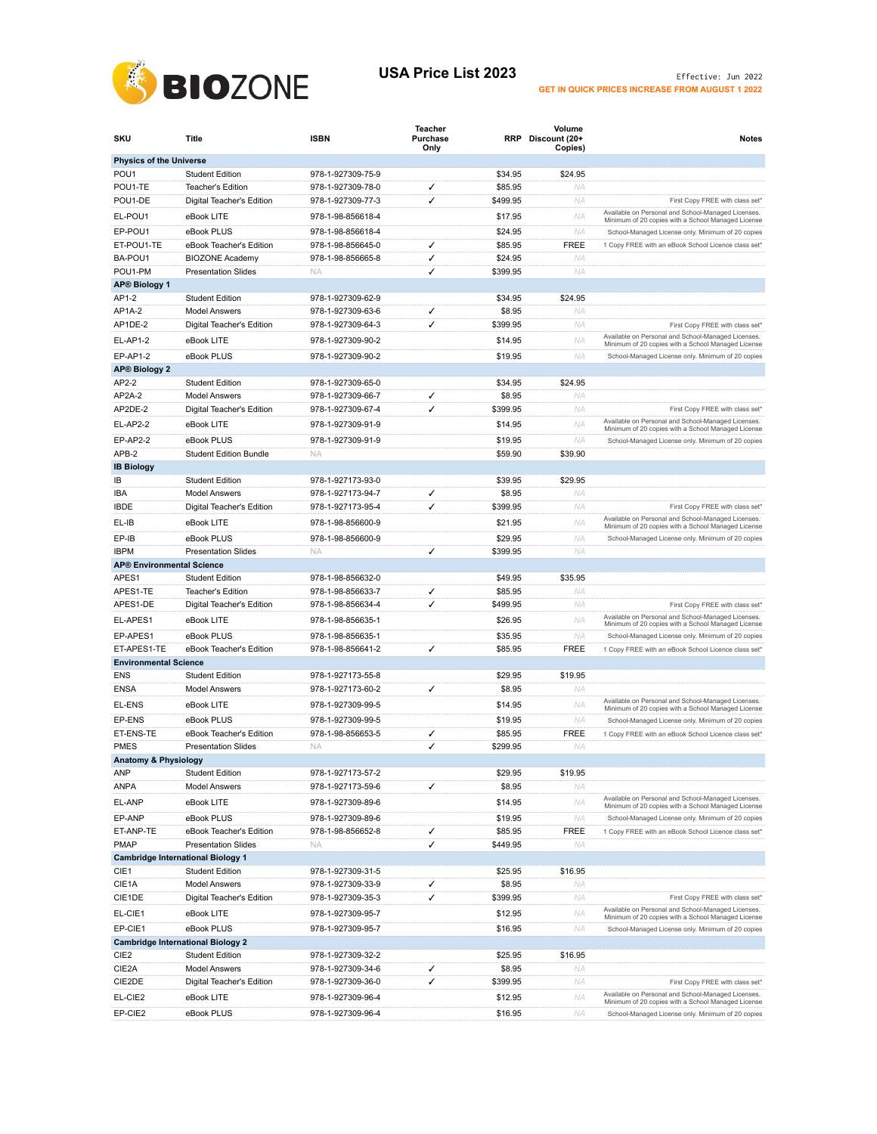

## USA Price List 2023 **Effective:** Jun 2022 **GET IN QUICK PRICES INCREASE FROM AUGUST 1 2022**

| SKU                                            | Title                                          | <b>ISBN</b>       | Teacher<br>Purchase<br>Only |          | Volume<br>RRP Discount (20+<br>Copies) | <b>Notes</b>                                                                                             |  |  |
|------------------------------------------------|------------------------------------------------|-------------------|-----------------------------|----------|----------------------------------------|----------------------------------------------------------------------------------------------------------|--|--|
| <b>Physics of the Universe</b>                 |                                                |                   |                             |          |                                        |                                                                                                          |  |  |
| POU <sub>1</sub>                               | <b>Student Edition</b>                         | 978-1-927309-75-9 |                             | \$34.95  | \$24.95                                |                                                                                                          |  |  |
| POU1-TE                                        | Teacher's Edition                              | 978-1-927309-78-0 | ✓                           | \$85.95  | NA                                     |                                                                                                          |  |  |
| POU1-DE                                        | Digital Teacher's Edition                      | 978-1-927309-77-3 | ✓                           | \$499.95 | NA                                     | First Copy FREE with class set*                                                                          |  |  |
| EL-POU1                                        | eBook LITE                                     | 978-1-98-856618-4 |                             | \$17.95  | <b>NA</b>                              | Available on Personal and School-Managed Licenses.<br>Minimum of 20 copies with a School Managed License |  |  |
| EP-POU1                                        | eBook PLUS                                     | 978-1-98-856618-4 |                             | \$24.95  | NA                                     | School-Managed License only. Minimum of 20 copies                                                        |  |  |
| ET-POU1-TE                                     | eBook Teacher's Edition                        | 978-1-98-856645-0 | ✓                           | \$85.95  | <b>FREE</b>                            | 1 Copy FREE with an eBook School Licence class set*                                                      |  |  |
| BA-POU1                                        | <b>BIOZONE Academy</b>                         | 978-1-98-856665-8 | ✓                           | \$24.95  | NA                                     |                                                                                                          |  |  |
| POU1-PM<br><b>AP® Biology 1</b>                | <b>Presentation Slides</b>                     | <b>NA</b>         | ✓                           | \$399.95 | <b>NA</b>                              |                                                                                                          |  |  |
| AP1-2                                          | <b>Student Edition</b>                         | 978-1-927309-62-9 |                             | \$34.95  | \$24.95                                |                                                                                                          |  |  |
| AP1A-2                                         | Model Answers                                  | 978-1-927309-63-6 | ✓                           | \$8.95   | ΝA                                     |                                                                                                          |  |  |
| AP1DE-2                                        | Digital Teacher's Edition                      | 978-1-927309-64-3 | ✓                           | \$399.95 | NA                                     | First Copy FREE with class set*                                                                          |  |  |
| EL-AP1-2                                       | eBook LITE                                     | 978-1-927309-90-2 |                             | \$14.95  | <b>NA</b>                              | Available on Personal and School-Managed Licenses.                                                       |  |  |
| <b>EP-AP1-2</b>                                | eBook PLUS                                     | 978-1-927309-90-2 |                             | \$19.95  | NA                                     | Minimum of 20 copies with a School Managed License<br>School-Managed License only. Minimum of 20 copies  |  |  |
| <b>AP® Biology 2</b>                           |                                                |                   |                             |          |                                        |                                                                                                          |  |  |
| AP2-2                                          | <b>Student Edition</b>                         | 978-1-927309-65-0 |                             | \$34.95  | \$24.95                                |                                                                                                          |  |  |
| AP2A-2                                         | <b>Model Answers</b>                           | 978-1-927309-66-7 | ✓                           | \$8.95   | NA                                     |                                                                                                          |  |  |
| AP2DE-2                                        | Digital Teacher's Edition                      | 978-1-927309-67-4 | ✓                           | \$399.95 | <b>NA</b>                              | First Copy FREE with class set*                                                                          |  |  |
| <b>EL-AP2-2</b>                                | eBook LITE                                     | 978-1-927309-91-9 |                             | \$14.95  | NA                                     | Available on Personal and School-Managed Licenses.<br>Minimum of 20 copies with a School Managed License |  |  |
| <b>EP-AP2-2</b>                                | eBook PLUS                                     | 978-1-927309-91-9 |                             | \$19.95  | NA                                     | School-Managed License only. Minimum of 20 copies                                                        |  |  |
| APB-2                                          | <b>Student Edition Bundle</b>                  | <b>NA</b>         |                             | \$59.90  | \$39.90                                |                                                                                                          |  |  |
| <b>IB Biology</b>                              |                                                |                   |                             |          |                                        |                                                                                                          |  |  |
| IB                                             | <b>Student Edition</b>                         | 978-1-927173-93-0 |                             | \$39.95  | \$29.95                                |                                                                                                          |  |  |
| IBA                                            | <b>Model Answers</b>                           | 978-1-927173-94-7 | ✓                           | \$8.95   | ΝA                                     |                                                                                                          |  |  |
| IBDE                                           | Digital Teacher's Edition                      | 978-1-927173-95-4 | ✓                           | \$399.95 | ΝA                                     | First Copy FREE with class set*                                                                          |  |  |
| EL-IB                                          | eBook LITE                                     | 978-1-98-856600-9 |                             | \$21.95  | NA                                     | Available on Personal and School-Managed Licenses.<br>Minimum of 20 copies with a School Managed License |  |  |
| EP-IB                                          | eBook PLUS                                     | 978-1-98-856600-9 |                             | \$29.95  | <b>NA</b>                              | School-Managed License only. Minimum of 20 copies                                                        |  |  |
| <b>IBPM</b>                                    | <b>Presentation Slides</b>                     | <b>NA</b>         | √                           | \$399.95 | <b>NA</b>                              |                                                                                                          |  |  |
| <b>AP® Environmental Science</b>               |                                                |                   |                             |          |                                        |                                                                                                          |  |  |
| APES1                                          | <b>Student Edition</b>                         | 978-1-98-856632-0 |                             | \$49.95  | \$35.95                                |                                                                                                          |  |  |
| APES1-TE                                       | Teacher's Edition                              | 978-1-98-856633-7 | ✓                           | \$85.95  | NA                                     |                                                                                                          |  |  |
| APES1-DE                                       | Digital Teacher's Edition                      | 978-1-98-856634-4 | ✓                           | \$499.95 | NA                                     | First Copy FREE with class set*                                                                          |  |  |
| EL-APES1                                       | eBook LITE                                     | 978-1-98-856635-1 |                             | \$26.95  | NA                                     | Available on Personal and School-Managed Licenses.<br>Minimum of 20 copies with a School Managed License |  |  |
| EP-APES1                                       | eBook PLUS                                     | 978-1-98-856635-1 |                             | \$35.95  | NA                                     | School-Managed License only. Minimum of 20 copies                                                        |  |  |
| ET-APES1-TE                                    | eBook Teacher's Edition                        | 978-1-98-856641-2 | ✓                           | \$85.95  | <b>FREE</b>                            | 1 Copy FREE with an eBook School Licence class set*                                                      |  |  |
| <b>Environmental Science</b>                   |                                                |                   |                             |          |                                        |                                                                                                          |  |  |
| <b>ENS</b><br><b>ENSA</b>                      | <b>Student Edition</b><br><b>Model Answers</b> | 978-1-927173-55-8 | ✓                           | \$29.95  | \$19.95<br>NA                          |                                                                                                          |  |  |
|                                                |                                                | 978-1-927173-60-2 |                             | \$8.95   |                                        | Available on Personal and School-Managed Licenses.                                                       |  |  |
| EL-ENS                                         | eBook LITE                                     | 978-1-927309-99-5 |                             | \$14.95  | NA                                     | Minimum of 20 copies with a School Managed License                                                       |  |  |
| EP-ENS                                         | eBook PLUS                                     | 978-1-927309-99-5 |                             | \$19.95  | ΝA                                     | School-Managed License only. Minimum of 20 copies                                                        |  |  |
| ET-ENS-TE                                      | eBook Teacher's Edition                        | 978-1-98-856653-5 | ✓                           | \$85.95  | <b>FREE</b>                            | 1 Copy FREE with an eBook School Licence class set*                                                      |  |  |
| <b>PMES</b><br><b>Anatomy &amp; Physiology</b> | <b>Presentation Slides</b>                     | <b>NA</b>         | ✓                           | \$299.95 | ΝA                                     |                                                                                                          |  |  |
| <b>ANP</b>                                     | <b>Student Edition</b>                         | 978-1-927173-57-2 |                             | \$29.95  | \$19.95                                |                                                                                                          |  |  |
| ANPA                                           | <b>Model Answers</b>                           | 978-1-927173-59-6 | ✓                           | \$8.95   | NA                                     |                                                                                                          |  |  |
| EL-ANP                                         | eBook LITE                                     | 978-1-927309-89-6 |                             | \$14.95  | NA                                     | Available on Personal and School-Managed Licenses.                                                       |  |  |
| EP-ANP                                         | eBook PLUS                                     | 978-1-927309-89-6 |                             | \$19.95  | NA.                                    | Minimum of 20 copies with a School Managed License                                                       |  |  |
| ET-ANP-TE                                      | eBook Teacher's Edition                        | 978-1-98-856652-8 | ✓                           | \$85.95  | FREE                                   | School-Managed License only. Minimum of 20 copies<br>1 Copy FREE with an eBook School Licence class set* |  |  |
| <b>PMAP</b>                                    | <b>Presentation Slides</b>                     | <b>NA</b>         | ✓                           | \$449.95 | NA                                     |                                                                                                          |  |  |
| <b>Cambridge International Biology 1</b>       |                                                |                   |                             |          |                                        |                                                                                                          |  |  |
| CIE1                                           | <b>Student Edition</b>                         | 978-1-927309-31-5 |                             | \$25.95  | \$16.95                                |                                                                                                          |  |  |
| CIE1A                                          | <b>Model Answers</b>                           | 978-1-927309-33-9 | ✓                           | \$8.95   | NA                                     |                                                                                                          |  |  |
| CIE1DE                                         | Digital Teacher's Edition                      | 978-1-927309-35-3 | ✓                           | \$399.95 | NA                                     | First Copy FREE with class set*                                                                          |  |  |
| EL-CIE1                                        | eBook LITE                                     | 978-1-927309-95-7 |                             | \$12.95  | NA                                     | Available on Personal and School-Managed Licenses.<br>Minimum of 20 copies with a School Managed License |  |  |
| EP-CIE1                                        | eBook PLUS                                     | 978-1-927309-95-7 |                             | \$16.95  | <b>NA</b>                              | School-Managed License only. Minimum of 20 copies                                                        |  |  |
| <b>Cambridge International Biology 2</b>       |                                                |                   |                             |          |                                        |                                                                                                          |  |  |
| CIE <sub>2</sub>                               | <b>Student Edition</b>                         | 978-1-927309-32-2 |                             | \$25.95  | \$16.95                                |                                                                                                          |  |  |
| CIE <sub>2</sub> A                             | <b>Model Answers</b>                           | 978-1-927309-34-6 | ✓                           | \$8.95   | NA                                     |                                                                                                          |  |  |
| CIE2DE                                         | Digital Teacher's Edition                      | 978-1-927309-36-0 | ✓                           | \$399.95 | NA                                     | First Copy FREE with class set*                                                                          |  |  |
| EL-CIE2                                        | eBook LITE                                     | 978-1-927309-96-4 |                             | \$12.95  | NA                                     | Available on Personal and School-Managed Licenses.<br>Minimum of 20 copies with a School Managed License |  |  |
| EP-CIE2                                        | eBook PLUS                                     | 978-1-927309-96-4 |                             | \$16.95  | NA                                     | School-Managed License only. Minimum of 20 copies                                                        |  |  |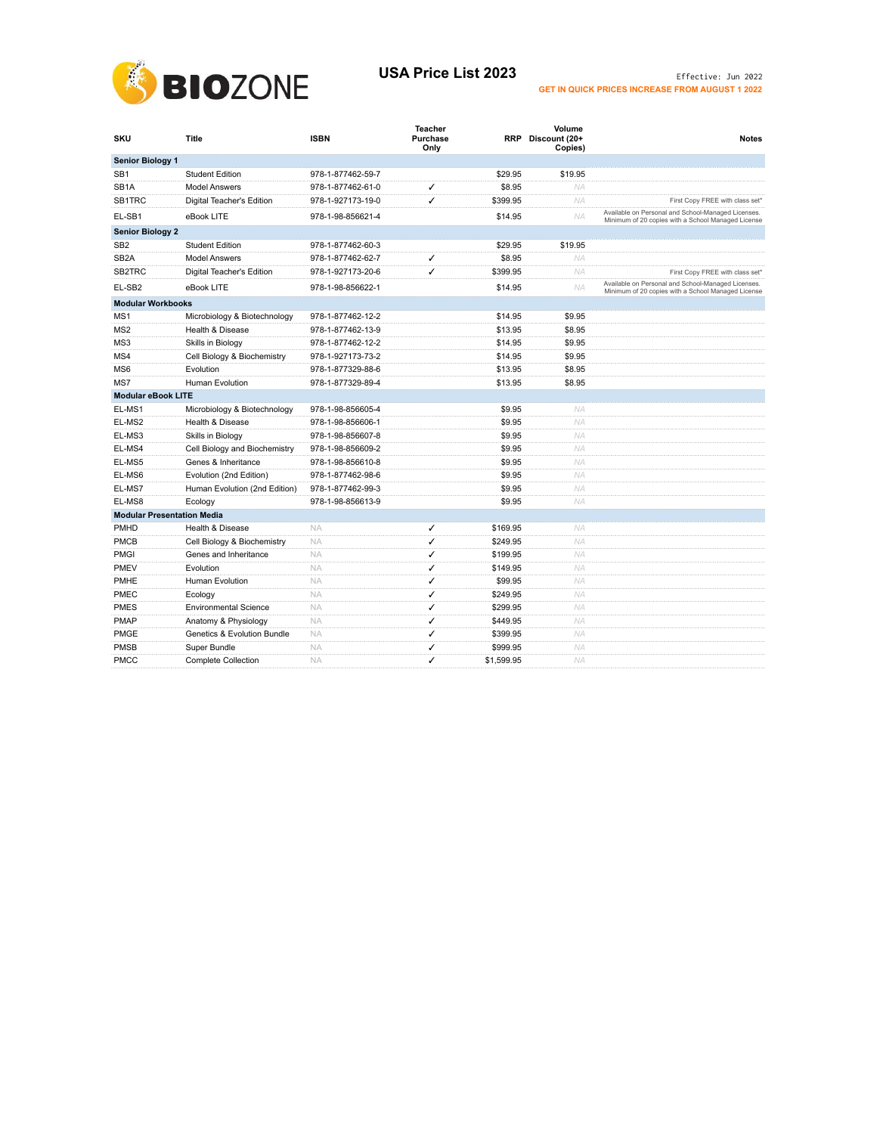

## USA Price List 2023 **Effective:** Jun 2022 **GET IN QUICK PRICES INCREASE FROM AUGUST 1 2022**

| SKU                               | <b>Title</b>                  | <b>ISBN</b>       | <b>Teacher</b><br>Purchase<br>Only |            | Volume<br>RRP Discount (20+<br>Copies) | <b>Notes</b>                                                                                             |
|-----------------------------------|-------------------------------|-------------------|------------------------------------|------------|----------------------------------------|----------------------------------------------------------------------------------------------------------|
| <b>Senior Biology 1</b>           |                               |                   |                                    |            |                                        |                                                                                                          |
| SB <sub>1</sub>                   | <b>Student Edition</b>        | 978-1-877462-59-7 |                                    | \$29.95    | \$19.95                                |                                                                                                          |
| SB <sub>1</sub> A                 | <b>Model Answers</b>          | 978-1-877462-61-0 | ✓                                  | \$8.95     | NA                                     |                                                                                                          |
| SB1TRC                            | Digital Teacher's Edition     | 978-1-927173-19-0 | ✓                                  | \$399.95   | <b>NA</b>                              | First Copy FREE with class set*                                                                          |
| EL-SB1                            | eBook LITE                    | 978-1-98-856621-4 |                                    | \$14.95    | <b>NA</b>                              | Available on Personal and School-Managed Licenses.<br>Minimum of 20 copies with a School Managed License |
| <b>Senior Biology 2</b>           |                               |                   |                                    |            |                                        |                                                                                                          |
| SB <sub>2</sub>                   | <b>Student Edition</b>        | 978-1-877462-60-3 |                                    | \$29.95    | \$19.95                                |                                                                                                          |
| SB <sub>2</sub> A                 | <b>Model Answers</b>          | 978-1-877462-62-7 | ✓                                  | \$8.95     | <b>NA</b>                              |                                                                                                          |
| SB2TRC                            | Digital Teacher's Edition     | 978-1-927173-20-6 | ✓                                  | \$399.95   | <b>NA</b>                              | First Copy FREE with class set*                                                                          |
| EL-SB2                            | eBook LITE                    | 978-1-98-856622-1 |                                    | \$14.95    | <b>NA</b>                              | Available on Personal and School-Managed Licenses.<br>Minimum of 20 copies with a School Managed License |
| <b>Modular Workbooks</b>          |                               |                   |                                    |            |                                        |                                                                                                          |
| MS1                               | Microbiology & Biotechnology  | 978-1-877462-12-2 |                                    | \$14.95    | \$9.95                                 |                                                                                                          |
| MS <sub>2</sub>                   | Health & Disease              | 978-1-877462-13-9 |                                    | \$13.95    | \$8.95                                 |                                                                                                          |
| MS3                               | Skills in Biology             | 978-1-877462-12-2 |                                    | \$14.95    | \$9.95                                 |                                                                                                          |
| MS4                               | Cell Biology & Biochemistry   | 978-1-927173-73-2 |                                    | \$14.95    | \$9.95                                 |                                                                                                          |
| MS <sub>6</sub>                   | Evolution                     | 978-1-877329-88-6 |                                    | \$13.95    | \$8.95                                 |                                                                                                          |
| MS7                               | <b>Human Evolution</b>        | 978-1-877329-89-4 |                                    | \$13.95    | \$8.95                                 |                                                                                                          |
| <b>Modular eBook LITE</b>         |                               |                   |                                    |            |                                        |                                                                                                          |
| EL-MS1                            | Microbiology & Biotechnology  | 978-1-98-856605-4 |                                    | \$9.95     | <b>NA</b>                              |                                                                                                          |
| EL-MS2                            | Health & Disease              | 978-1-98-856606-1 |                                    | \$9.95     | <b>NA</b>                              |                                                                                                          |
| EL-MS3                            | Skills in Biology             | 978-1-98-856607-8 |                                    | \$9.95     | <b>NA</b>                              |                                                                                                          |
| EL-MS4                            | Cell Biology and Biochemistry | 978-1-98-856609-2 |                                    | \$9.95     | <b>NA</b>                              |                                                                                                          |
| EL-MS5                            | Genes & Inheritance           | 978-1-98-856610-8 |                                    | \$9.95     | NA                                     |                                                                                                          |
| EL-MS6                            | Evolution (2nd Edition)       | 978-1-877462-98-6 |                                    | \$9.95     | <b>NA</b>                              |                                                                                                          |
| EL-MS7                            | Human Evolution (2nd Edition) | 978-1-877462-99-3 |                                    | \$9.95     | <b>NA</b>                              |                                                                                                          |
| EL-MS8                            | Ecology                       | 978-1-98-856613-9 |                                    | \$9.95     | <b>NA</b>                              |                                                                                                          |
| <b>Modular Presentation Media</b> |                               |                   |                                    |            |                                        |                                                                                                          |
| <b>PMHD</b>                       | Health & Disease              | <b>NA</b>         | ✓                                  | \$169.95   | <b>NA</b>                              |                                                                                                          |
| <b>PMCB</b>                       | Cell Biology & Biochemistry   | <b>NA</b>         | ✓                                  | \$249.95   | <b>NA</b>                              |                                                                                                          |
| PMGI                              | Genes and Inheritance         | <b>NA</b>         | ✓                                  | \$199.95   | <b>NA</b>                              |                                                                                                          |
| PMEV                              | Evolution                     | <b>NA</b>         | ✓                                  | \$149.95   | NA                                     |                                                                                                          |
| PMHE                              | <b>Human Evolution</b>        | <b>NA</b>         | ✓                                  | \$99.95    | <b>NA</b>                              |                                                                                                          |
| PMEC                              | Ecology                       | <b>NA</b>         | ✓                                  | \$249.95   | <b>NA</b>                              |                                                                                                          |
| <b>PMES</b>                       | <b>Environmental Science</b>  | <b>NA</b>         | ✓                                  | \$299.95   | <b>NA</b>                              |                                                                                                          |
| <b>PMAP</b>                       | Anatomy & Physiology          | <b>NA</b>         | ✓                                  | \$449.95   | NA                                     |                                                                                                          |
| <b>PMGE</b>                       | Genetics & Evolution Bundle   | <b>NA</b>         | ✓                                  | \$399.95   | <b>NA</b>                              |                                                                                                          |
| <b>PMSB</b>                       | Super Bundle                  | <b>NA</b>         | ✓                                  | \$999.95   | <b>NA</b>                              |                                                                                                          |
| <b>PMCC</b>                       | <b>Complete Collection</b>    | <b>NA</b>         | ✓                                  | \$1,599.95 | <b>NA</b>                              |                                                                                                          |
|                                   |                               |                   |                                    |            |                                        |                                                                                                          |